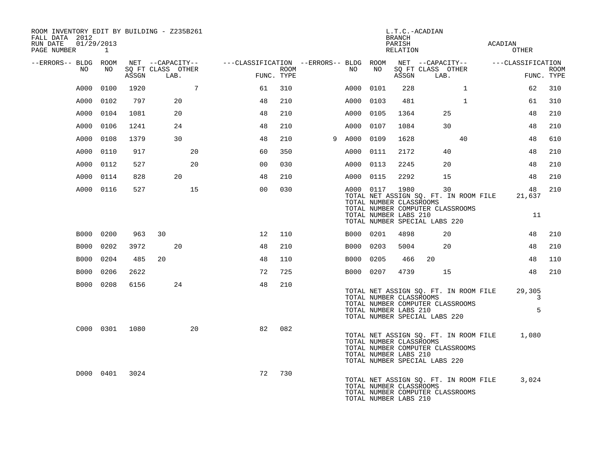| ROOM INVENTORY EDIT BY BUILDING - Z235B261<br>FALL DATA 2012<br>RUN DATE  01/29/2013 |           |                |                                       |                 |                                                          |      |             |      | BRANCH<br>PARISH                                 | L.T.C.-ACADIAN                                                                                                                        |              | ACADIAN                               |                  |             |
|--------------------------------------------------------------------------------------|-----------|----------------|---------------------------------------|-----------------|----------------------------------------------------------|------|-------------|------|--------------------------------------------------|---------------------------------------------------------------------------------------------------------------------------------------|--------------|---------------------------------------|------------------|-------------|
| PAGE NUMBER 1                                                                        |           |                |                                       |                 |                                                          |      |             |      | RELATION                                         |                                                                                                                                       |              |                                       | OTHER            |             |
| --ERRORS-- BLDG ROOM<br>NO                                                           | NO        |                | NET --CAPACITY--<br>SQ FT CLASS OTHER |                 | ---CLASSIFICATION --ERRORS-- BLDG ROOM  NET --CAPACITY-- | ROOM | NO          | NO   |                                                  | SQ FT CLASS OTHER                                                                                                                     |              | ---CLASSIFICATION                     |                  | <b>ROOM</b> |
|                                                                                      |           | ASSGN          | LAB.                                  |                 | FUNC. TYPE                                               |      |             |      | ASSGN                                            | LAB.                                                                                                                                  |              |                                       | FUNC. TYPE       |             |
| A000                                                                                 | 0100      | 1920           |                                       | $7\overline{ }$ | 61                                                       | 310  | A000        | 0101 | 228                                              |                                                                                                                                       | $\mathbf{1}$ |                                       | 62               | 310         |
|                                                                                      | A000 0102 | 797            | 20                                    |                 | 48                                                       | 210  | A000        | 0103 | 481                                              |                                                                                                                                       | $\mathbf{1}$ |                                       | 61               | 310         |
| A000                                                                                 | 0104      | 1081           | 20                                    |                 | 48                                                       | 210  | A000 0105   |      | 1364                                             | 25                                                                                                                                    |              |                                       | 48               | 210         |
| A000                                                                                 | 0106      | 1241           | 24                                    |                 | 48                                                       | 210  | A000        | 0107 | 1084                                             | 30                                                                                                                                    |              |                                       | 48               | 210         |
| A000                                                                                 | 0108      | 1379           | 30                                    |                 | 48                                                       | 210  | 9 A000 0109 |      | 1628                                             |                                                                                                                                       | 40           |                                       | 48               | 610         |
|                                                                                      | A000 0110 | 917            |                                       | 20              | 60                                                       | 350  | A000 0111   |      | 2172                                             | 40                                                                                                                                    |              |                                       | 48               | 210         |
|                                                                                      | A000 0112 | 527            |                                       | 20              | 0 <sub>0</sub>                                           | 030  | A000 0113   |      | 2245                                             | 20                                                                                                                                    |              |                                       | 48               | 210         |
| A000                                                                                 | 0114      | 828            | 20                                    |                 | 48                                                       | 210  | A000 0115   |      | 2292                                             | 15                                                                                                                                    |              |                                       | 48               | 210         |
|                                                                                      | A000 0116 | 527            |                                       | 15              | 0 <sub>0</sub>                                           | 030  |             |      | A000 0117 1980<br>TOTAL NUMBER CLASSROOMS        | 30<br>TOTAL NET ASSIGN SO. FT. IN ROOM FILE<br>TOTAL NUMBER COMPUTER CLASSROOMS                                                       |              |                                       | 48<br>21,637     | 210         |
|                                                                                      |           |                |                                       |                 |                                                          |      |             |      | TOTAL NUMBER LABS 210                            | TOTAL NUMBER SPECIAL LABS 220                                                                                                         |              |                                       | 11               |             |
|                                                                                      | B000 0200 | 963            | 30                                    |                 | 12                                                       | 110  | B000 0201   |      | 4898                                             | 20                                                                                                                                    |              |                                       | 48               | 210         |
| B000                                                                                 | 0202      | 3972           | 20                                    |                 | 48                                                       | 210  | B000 0203   |      | 5004                                             | 20                                                                                                                                    |              |                                       | 48               | 210         |
|                                                                                      | B000 0204 | 485            | 20                                    |                 | 48                                                       | 110  | B000 0205   |      | 466                                              | 20                                                                                                                                    |              |                                       | 48               | 110         |
|                                                                                      | B000 0206 | 2622           |                                       |                 | 72                                                       | 725  | B000 0207   |      | 4739                                             | 15                                                                                                                                    |              |                                       | 48               | 210         |
|                                                                                      | B000 0208 | 6156           | 24                                    |                 | 48                                                       | 210  |             |      | TOTAL NUMBER LABS 210                            | TOTAL NET ASSIGN SQ. FT. IN ROOM FILE<br>TOTAL NUMBER CLASSROOMS<br>TOTAL NUMBER COMPUTER CLASSROOMS<br>TOTAL NUMBER SPECIAL LABS 220 |              |                                       | 29,305<br>3<br>5 |             |
|                                                                                      |           | C000 0301 1080 |                                       | 20              | 82                                                       | 082  |             |      | TOTAL NUMBER CLASSROOMS<br>TOTAL NUMBER LABS 210 | TOTAL NUMBER COMPUTER CLASSROOMS<br>TOTAL NUMBER SPECIAL LABS 220                                                                     |              | TOTAL NET ASSIGN SQ. FT. IN ROOM FILE | 1,080            |             |
|                                                                                      | D000 0401 | 3024           |                                       |                 | 72                                                       | 730  |             |      | TOTAL NUMBER CLASSROOMS<br>TOTAL NUMBER LABS 210 | TOTAL NUMBER COMPUTER CLASSROOMS                                                                                                      |              | TOTAL NET ASSIGN SQ. FT. IN ROOM FILE | 3,024            |             |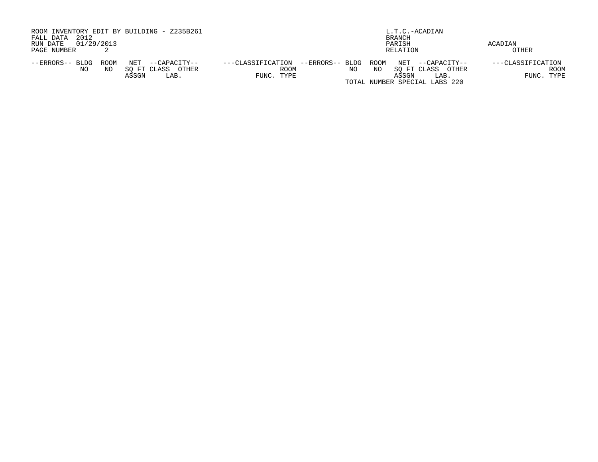| ROOM INVENTORY EDIT BY BUILDING - Z235B261<br>2012<br>FALL DATA<br>01/29/2013<br>RUN DATE<br>PAGE NUMBER | L.T.C.-ACADIAN<br>BRANCH<br>PARISH<br>RELATION                                                                                                                               | ACADIAN<br>OTHER                               |
|----------------------------------------------------------------------------------------------------------|------------------------------------------------------------------------------------------------------------------------------------------------------------------------------|------------------------------------------------|
| NET<br>ROOM<br>--ERRORS-- BLDG<br>--CAPACITY--<br>SO FT CLASS<br>OTHER<br>NO.<br>NΟ<br>ASSGN<br>LAB.     | ROOM<br>NET --CAPACITY--<br>---CLASSIFICATION<br>--ERRORS-- BLDG<br>ROOM<br>SO FT CLASS<br>OTHER<br>NO<br>NO<br>FUNC. TYPE<br>ASSGN<br>LAB.<br>TOTAL NUMBER SPECIAL LABS 220 | ---CLASSIFICATION<br><b>ROOM</b><br>FUNC. TYPE |